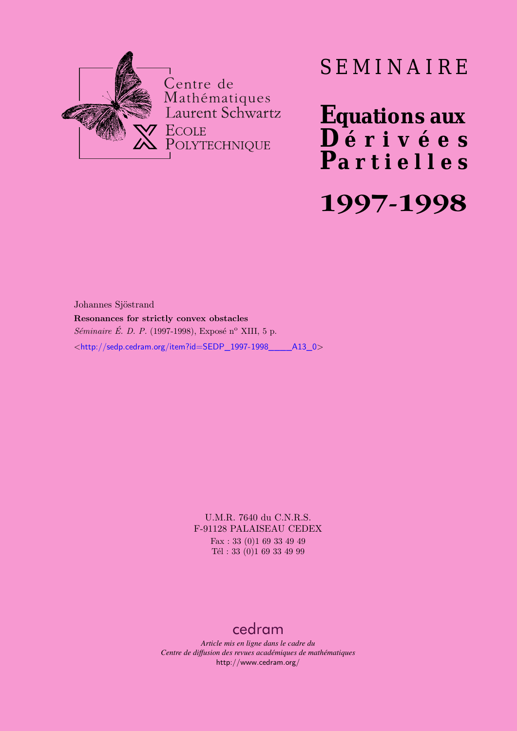

# SEMINAIRE

**Equations aux**  $\overline{\mathbf{D}}$  érivées **Partielles 1997-1998**

Johannes Sjöstrand **Resonances for strictly convex obstacles** *Séminaire É. D. P.* (1997-1998), Exposé n<sup>o</sup> XIII, 5 p. <[http://sedp.cedram.org/item?id=SEDP\\_1997-1998\\_\\_\\_\\_A13\\_0](http://sedp.cedram.org/item?id=SEDP_1997-1998____A13_0)>

> U.M.R. 7640 du C.N.R.S. F-91128 PALAISEAU CEDEX Fax : 33 (0)1 69 33 49 49 Tél : 33 (0)1 69 33 49 99

## [cedram](http://www.cedram.org/)

*Article mis en ligne dans le cadre du Centre de diffusion des revues académiques de mathématiques* <http://www.cedram.org/>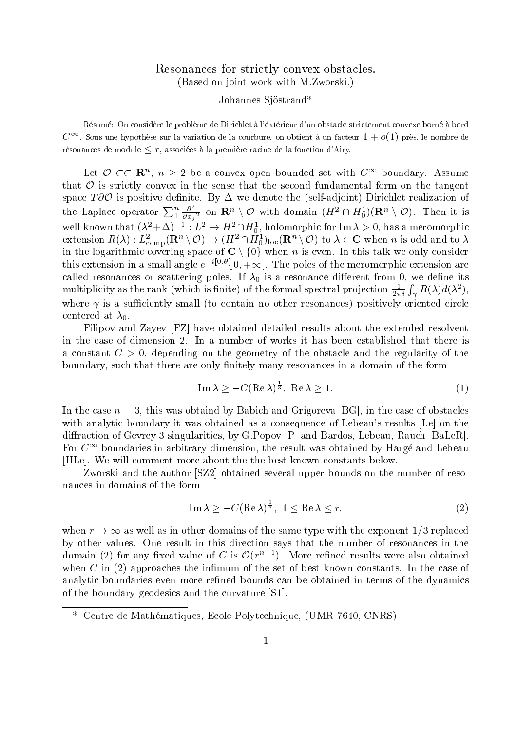### Resonances for strictly convex obstacles. Based on joint work with M-Zworski-

#### Johannes Sjöstrand\*

R-esum-e On considere le probleme de Dirichlet a l-ext-erieur dun obstacle strictement convexe born-e a bord  $C^{\infty}$ . Sous une hypothèse sur la variation de la courbure, on obtient à un facteur  $1 + o(1)$  près, le nombre de résonances de module  $\leq r,$  associées à la première racine de la fonction d'Airy.

Let  $\mathcal{O} \subset \subset \mathbb{R}^n$ ,  $n \geq 2$  be a convex open bounded set with  $C^{\infty}$  boundary. Assume that  $\mathcal O$  is strictly convex in the sense that the second fundamental form on the tangent space  $T\partial \mathcal{O}$  is positive definite. the Laplace operator  $\sum_{1}^{n} \frac{\partial^{2}}{\partial x_{i}^{2}}$  on  $\mathbf{R}^{n} \setminus \mathcal{O}$  with domain  $(H^{2} \cap H_{0}^{1})(\mathbf{R}^{n} \setminus \mathcal{O})$ . Then it is  $\sigma$   $\sim$  $\frac{\partial^2}{\partial x_i^2}$  on  $\mathbf{R}^n \setminus \mathcal{O}$  with domain  $(H^2 \cap H_0^1)(\mathbf{R}^n \setminus \mathcal{O})$ . Then it is well-known that  $(\lambda^2 + \Delta)^{-1} : L^2 \to H^2 \cap H_0^1$ , holomorphic for  $\text{Im }\lambda > 0$ , has a meromorphic extension  $R(\lambda) : L^2_{\rm{comp}}(\mathbf{R}^n\setminus\mathcal{O}) \to (H^2\cap H^1_0)_{\rm loc}(\mathbf{R}^n\setminus\mathcal{O})$  to  $\lambda\in\mathbf{C}$  when  $n$  is odd and to  $\lambda$ in the logarithmic covering space of  $\mathbf{C} \setminus \{0\}$  when  $n$  is even. In this talk we only consider this extension in a small angle  $e^{-\epsilon_0 \sigma_1}$  (0,  $+\infty$ ). The poles of the meromorphic extension are called resonances or scattering poles- it and it is a resonance allowed the called  $\alpha$  and a resonance  $\alpha$ multiplicity as the rank (which is finite) of the formal spectral projection  $\frac{1}{2\pi i} \int_{\gamma} R(\lambda) d(\lambda^2)$ , where  $\gamma$  is a sufficiently small (to contain no other resonances) positively oriented circle centered at  $\lambda_0$ .

Filipov and Zayev [FZ] have obtained detailed results about the extended resolvent a constant  $C > 0$ , depending on the geometry of the obstacle and the regularity of the boundary such that there are only nitely many resonances in a domain of the form

$$
\operatorname{Im}\lambda \ge -C(\operatorname{Re}\lambda)^{\frac{1}{3}}, \operatorname{Re}\lambda \ge 1. \tag{1}
$$

In the case  $n = 3$ , this was obtaind by Babich and Grigoreva [BG], in the case of obstacles with analytic boundary it was obtained as a consequence of Lebeau's results [Le] on the diraction of Gevrey singularities by G-C-Popov P and Bardon Baler-C-Popov P and Baler-C-Popov P and Baler-C-Po For  $C^{\infty}$  boundaries in arbitrary dimension, the result was obtained by Harge and Lebeau HLe- We will comment more about the the best known constants below-

Zworski and the author [SZ2] obtained several upper bounds on the number of resonances in domains of the form

$$
\operatorname{Im}\lambda \ge -C(\operatorname{Re}\lambda)^{\frac{1}{3}}, \ 1 \le \operatorname{Re}\lambda \le r,\tag{2}
$$

when  $r \to \infty$  as well as in other domains of the same type with the exponent  $1/3$  replaced by other values- One result in this direction says that the number of resonances in the domain (2) for any fixed value of C is  $\mathcal{O}(r^{n-1})$ . More refined results were also obtained when C in the set of best known constants the set of the set of best known constants- and the case of the case analytic boundaries even more relationships even more relationships of the dynamics of the dynamics of the dynamics of the boundary geodesics and the curvature  $[S1]$ .

<sup>\*</sup> Centre de Mathématiques, Ecole Polytechnique, (UMR 7640, CNRS)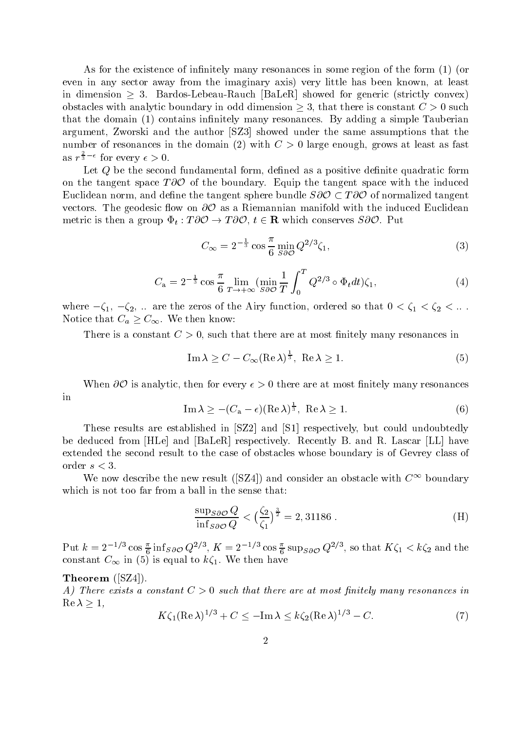As for the existence of in nitely many resonances in some region of the form or even in any sector away from the imaginary axis) very little has been known, at least in dimension  $\geq 3$ . Bardos-Lebeau-Rauch  $|\text{BaleR}|$  showed for generic (strictly convex) obstacles with analytic boundary in odd dimension  $\geq 3$ , that there is constant  $C > 0$  such that the domain intervention in the domain  $c$  many resonances  $\mathbf{R}$  and  $\mathbf{R}$ argument, Zworski and the author [SZ3] showed under the same assumptions that the number of resonances in the domain (2) with  $C > 0$  large enough, grows at least as fast as  $r^{\frac{1}{3}-\epsilon}$  for every  $\epsilon > 0$ .

Let <sup>Q</sup> be the second fundamental form de ned as a positive de nite quadratic form on the tangent space  $T\partial\mathcal{O}$  of the boundary. Equip the tangent space with the induced Euclidean norm, and define the tangent sphere bundle  $S\partial\mathcal{O}\subset T\partial\mathcal{O}$  of normalized tangent vectors. The geodesic flow on  $\partial\mathcal{O}$  as a Riemannian manifold with the induced Euclidean metric is then a group  $\Phi_t: T\partial\mathcal{O} \to T\partial\mathcal{O},\ t\in\mathbf{R}$  which conserves  $S\partial\mathcal{O}$ . Put

$$
C_{\infty} = 2^{-\frac{1}{3}} \cos \frac{\pi}{6} \min_{S \partial \mathcal{O}} Q^{2/3} \zeta_1, \tag{3}
$$

$$
C_{\mathbf{a}} = 2^{-\frac{1}{3}} \cos \frac{\pi}{6} \lim_{T \to +\infty} (\min_{S \partial \mathcal{O}} \frac{1}{T} \int_0^T Q^{2/3} \circ \Phi_t dt) \zeta_1,\tag{4}
$$

where  $-\zeta_1, -\zeta_2, \ldots$  are the zeros of the Airy function, ordered so that  $0 \leq \zeta_1 \leq \zeta_2 \leq \ldots$ Notice that  $C_a \geq C_{\infty}$ . We then know:

There is a constant <sup>C</sup> such that there are at most nitely many resonances in

$$
\operatorname{Im}\lambda \ge C - C_{\infty} (\operatorname{Re}\lambda)^{\frac{1}{3}}, \operatorname{Re}\lambda \ge 1. \tag{5}
$$

When  $\partial \mathcal{O}$  is analytic, then for every  $\epsilon > 0$  there are at most finitely many resonances in

$$
\operatorname{Im}\lambda \ge -(C_{\mathbf{a}} - \epsilon)(\operatorname{Re}\lambda)^{\frac{1}{3}}, \operatorname{Re}\lambda \ge 1. \tag{6}
$$

These results are established in  $SZ2$  and  $S1$  respectively, but could undoubtedly be deduced from HLe and BaLeR respectively- Recently B- and R- Lascar LL have extended the second result to the case of obstacles whose boundary is of Gevrey class of order  $s < 3$ .

We now describe the new result (SZ4) and consider an obstacle with  $C^{\infty}$  boundary which is not too far from a ball in the sense that

$$
\frac{\sup_{S\partial\mathcal{O}}Q}{\inf_{S\partial\mathcal{O}}Q} < \left(\frac{\zeta_2}{\zeta_1}\right)^{\frac{3}{2}} = 2,31186. \tag{H}
$$

Put  $k = 2^{-1/3} \cos \frac{\pi}{6} \text{ inf}_{S \partial \mathcal{O}} Q^{2/3}$ ,  $K = 2^{-1/3} \cos \frac{\pi}{6} \text{ sup}_{S \partial \mathcal{O}} Q^{2/3}$ , so that  $K \zeta_1 < k \zeta_2$  and the constant  $\infty$  or in  $\{0\}$  is equal to  $\kappa_{1}$ . We then have

#### Theorem  $(SZ4)$ .

A- There exists a constant <sup>C</sup> such that there are at most nitely many resonances in  $\operatorname{Re} \lambda \geq 1$ ,

$$
K\zeta_1(\operatorname{Re}\lambda)^{1/3} + C \le -\operatorname{Im}\lambda \le k\zeta_2(\operatorname{Re}\lambda)^{1/3} - C. \tag{7}
$$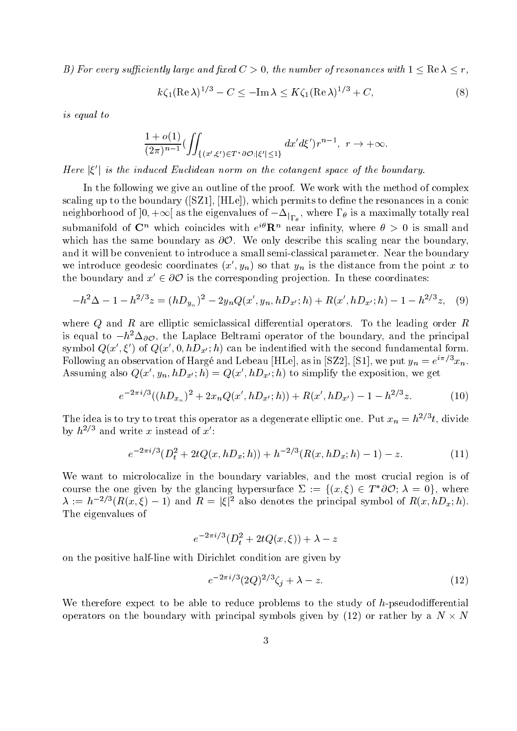B) For every sufficiently large and fixed  $C > 0$ , the number of resonances with  $1 \leq \text{Re }\lambda \leq r$ ,

$$
k\zeta_1(\operatorname{Re}\lambda)^{1/3} - C \le -\operatorname{Im}\lambda \le K\zeta_1(\operatorname{Re}\lambda)^{1/3} + C,\tag{8}
$$

is equal to

$$
\frac{1+o(1)}{(2\pi)^{n-1}} (\iint_{\{(x',\xi')\in T^*\partial \mathcal{O}; |\xi'| \leq 1\}} dx'd\xi')r^{n-1},\,\,r\to +\infty.
$$

Here  $|\xi'|$  is the induced Euclidean norm on the cotangent space of the boundary.

In the following we give an outline of the proof- We work with the method of complex scaling up to the boundary SZ HLe which permits to de ne the resonances in a conic neignborhood of  $]$ 0,  $+ \infty[$  as the eigenvalues of  $- \Delta_{|_{\Gamma_\theta}} ,$  where I  $_\theta$  is a maximally totally real submanifold of  $\mathbf{C}^n$  which coincides with  $e^{i\theta} \mathbf{R}^n$  near infinity, where  $\theta > 0$  is small and which has the same boundary as  $\partial\mathcal{O}$ . We only describe this scaling near the boundary, and it will be convenient to introduce a small seminary convenience parameters- internal seminary ( we introduce geodesic coordinates  $(x', y_n)$  so that  $y_n$  is the distance from the point x to the boundary and  $x' \in \partial\mathcal{O}$  is the corresponding projection. In these coordinates:

$$
-h^{2}\Delta - 1 - h^{2/3}z = (hD_{y_{n}})^{2} - 2y_{n}Q(x', y_{n}, hD_{x'}; h) + R(x', hD_{x'}; h) - 1 - h^{2/3}z, \quad (9)
$$

where  $\alpha$  and R are elliptic semiclassical dierential operators-  $\alpha$  and the leading order R and is equal to  $-n$ - $\Delta_{\partial} \mathcal{O},$  the Laplace Beltrami operator of the boundary, and the principal symbol  $Q(x',\xi')$  of  $Q(x',0,hD_{x'};h)$  can be indentified with the second fundamental form. Following an observation of Harge and Lebeau [HLe], as in [SZZ], [S1], we put  $y_n = e^{-\tau} \ x_n.$ Assuming also  $Q(x', y_n, hD_{x'}; h) = Q(x', hD_{x'}; h)$  to simplify the exposition, we get

$$
e^{-2\pi i/3}((hD_{x_n})^2 + 2x_nQ(x', hD_{x'}; h)) + R(x', hD_{x'}) - 1 - h^{2/3}z.
$$
 (10)

The idea is to try to treat this operator as a degenerate emptic one. Put  $x_n = n + \iota$ , divide by  $h^{2/3}$  and write x instead of  $x'$ :

$$
e^{-2\pi i/3}(D_t^2 + 2tQ(x, hD_x; h)) + h^{-2/3}(R(x, hD_x; h) - 1) - z.
$$
 (11)

We want to microlocalize in the boundary variables, and the most crucial region is of course the one given by the glancing hypersurface  $\Sigma := \{(x, \xi) \in T^* \partial \mathcal O; \, \lambda = 0\},$  where  $\lambda := h^{-2/3}(R(x,\xi) - 1)$  and  $R = |\xi|^2$  also denotes the principal symbol of  $R(x,hD_x;h)$ . The eigenvalues of

$$
e^{-2\pi i/3}(D_t^2+2tQ(x,\xi))+\lambda-z
$$

on the positive half-line with Dirichlet condition are given by

$$
e^{-2\pi i/3} (2Q)^{2/3} \zeta_j + \lambda - z. \tag{12}
$$

We therefore expect to be able to reduce problems to the study of  $h$ -pseudodifferential operators on the boundary with principal symbols given by (12) or rather by a  $N \times N$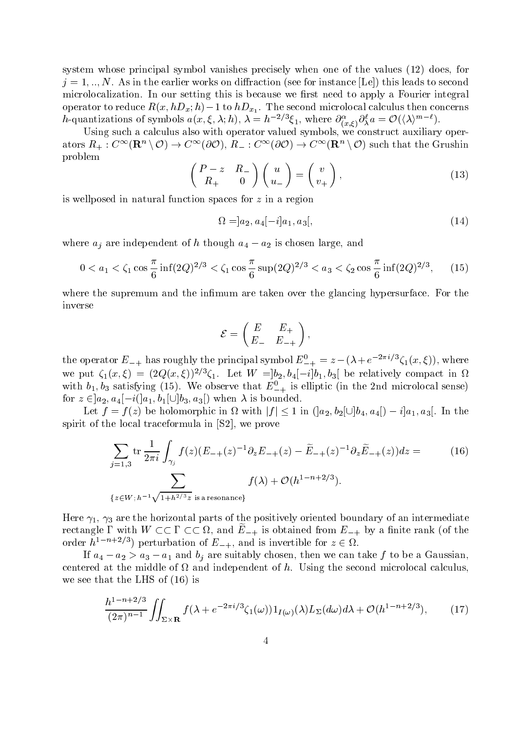system whose principal symbol vanishes precisely when one of the values  $(12)$  does, for  $j = \pm 1$  in the earlier control instance on diraction  $\{500, 101, 100, 100\}$  , this leads to second to second microlocalization- In our setting this is because we rst need to apply a Fourier integral operator to reduce  $\mathcal{I}(x, nD_x, n)$  = 1 to  $nD_{x_1}$ . The second microlocal calculus then concerns h-quantizations of symbols  $a(x,\xi,\lambda;h)$ ,  $\lambda = h^{-2/3}\xi_1$ , where  $\partial_{(x,\xi)}^{\alpha}\partial_{\lambda}^{\ell}a = \mathcal{O}(\langle \lambda \rangle^{m-\ell})$ .

Using such a calculus also with operator valued symbols, we construct auxiliary operators  $R_+:C^\infty({\bf R}^n\setminus\mathcal{O})\to C^\infty(\partial\mathcal{O}),\,R_-:C^\infty(\partial\mathcal{O})\to C^\infty({\bf R}^n\setminus\mathcal{O})$  such that the Grushin problem

$$
\begin{pmatrix} P - z & R_- \\ R_+ & 0 \end{pmatrix} \begin{pmatrix} u \\ u_- \end{pmatrix} = \begin{pmatrix} v \\ v_+ \end{pmatrix},
$$
\n(13)

is wellposed in natural function spaces for <sup>z</sup> in a region

$$
\Omega = ]a_2, a_4[-i]a_1, a_3[, \tag{14}
$$

where  $u_j$  are independent of  $u$  though  $u_4 - u_2$  is chosen large, and

$$
0 < a_1 < \zeta_1 \cos \frac{\pi}{6} \inf(2Q)^{2/3} < \zeta_1 \cos \frac{\pi}{6} \sup(2Q)^{2/3} < a_3 < \zeta_2 \cos \frac{\pi}{6} \inf(2Q)^{2/3},\tag{15}
$$

where the supremum and the international distribution is the the glancing hypersurface- in the theory inverse

$$
\mathcal{E} = \begin{pmatrix} E & E_+ \\ E_- & E_{-+} \end{pmatrix},
$$

the operator  $E_{-+}$  has roughly the principal symbol  $E_{-+}^{\circ} = z - (\lambda + e^{-2\pi i/3} \zeta_1(x,\xi))$ , where we put  $\zeta_1(x,\zeta) = (2Q(x,\zeta))$  '  $\zeta_1$ . Let  $W = [0, 0, 0, 1] - [0, 0, 0]$  be relatively compact in  $\Omega$ with  $v_1, v_3$  satisfying (15). We observe that  $E_{-+}$  is emptic (in the 2nd inicrolocal sense) for  $z \in [a_2, a_4] - i([a_1, b_1] \cup [b_3, a_3])$  when  $\lambda$  is bounded.

Let  $f = f(z)$  be holomorphic in  $\Omega$  with  $|f| \leq 1$  in  $(|a_2, b_2| \cup |b_4, a_4|) - i|a_1, a_3|$ . In the spirit of the local traceformula in  $S2$ , we prove

$$
\sum_{j=1,3} \text{tr} \frac{1}{2\pi i} \int_{\gamma_j} f(z) (E_{-+}(z)^{-1} \partial_z E_{-+}(z) - \tilde{E}_{-+}(z)^{-1} \partial_z \tilde{E}_{-+}(z)) dz = \qquad (16)
$$
  

$$
\sum_{\{z \in W; h^{-1} \sqrt{1 + h^{2/3} z} \text{ is a resonance}\}} f(\lambda) + \mathcal{O}(h^{1-n+2/3}).
$$

Here  $\gamma_1$ ,  $\gamma_3$  are the horizontal parts of the positively oriented boundary of an intermediate rectangle 1 with  $W \subset \subset I \subset \subset \Omega$ , and  $E_{-+}$  is obtained from  $E_{-+}$  by a finite rank (of the order  $h^{1-n+2/3}$  perturbation of  $E_{-+}$ , and is invertible for  $z \in \Omega$ .

If  $u_4 - u_2 > u_3 - u_1$  and  $v_i$  are suitably chosen, then we can take f to be a Gaussian, centered at the middle of the middle of the second of the second micrococal calculus calculus microlocal calcu we see that the LHS of  $(16)$  is

$$
\frac{h^{1-n+2/3}}{(2\pi)^{n-1}}\iint_{\Sigma\times\mathbf{R}}f(\lambda+e^{-2\pi i/3}\zeta_1(\omega))1_{I(\omega)}(\lambda)L_{\Sigma}(d\omega)d\lambda+\mathcal{O}(h^{1-n+2/3}),\qquad(17)
$$